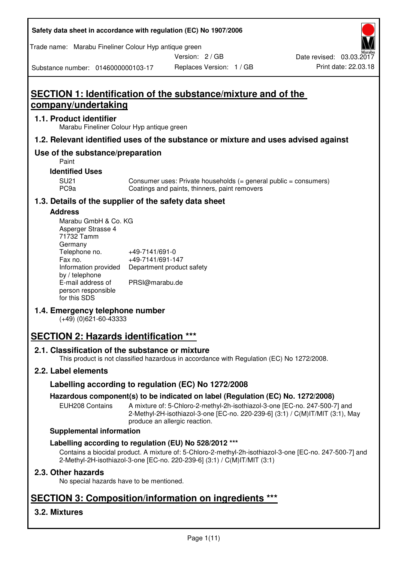**Safety data sheet in accordance with regulation (EC) No 1907/2006** 

Trade name: Marabu Fineliner Colour Hyp antique green

Version: 2 / GB

Replaces Version: 1 / GB Print date: 22.03.18 Date revised: 03.03.2017

Substance number: 0146000000103-17

# **SECTION 1: Identification of the substance/mixture and of the company/undertaking**

## **1.1. Product identifier**

Marabu Fineliner Colour Hyp antique green

## **1.2. Relevant identified uses of the substance or mixture and uses advised against**

## **Use of the substance/preparation**

Paint

## **Identified Uses**

SU21 Consumer uses: Private households (= general public = consumers)<br>PC9a Coatings and paints, thinners, paint removers Coatings and paints, thinners, paint removers

## **1.3. Details of the supplier of the safety data sheet**

## **Address**

| Marabu GmbH & Co. KG |                           |
|----------------------|---------------------------|
| Asperger Strasse 4   |                           |
| 71732 Tamm           |                           |
| Germany              |                           |
| Telephone no.        | +49-7141/691-0            |
| Fax no.              | +49-7141/691-147          |
| Information provided | Department product safety |
| by / telephone       |                           |
| E-mail address of    | PRSI@marabu.de            |
| person responsible   |                           |
| for this SDS         |                           |

## **1.4. Emergency telephone number**

(+49) (0)621-60-43333

## **SECTION 2: Hazards identification \*\*\***

## **2.1. Classification of the substance or mixture**

This product is not classified hazardous in accordance with Regulation (EC) No 1272/2008.

## **2.2. Label elements**

## **Labelling according to regulation (EC) No 1272/2008**

## **Hazardous component(s) to be indicated on label (Regulation (EC) No. 1272/2008)**

EUH208 Contains A mixture of: 5-Chloro-2-methyl-2h-isothiazol-3-one [EC-no. 247-500-7] and 2-Methyl-2H-isothiazol-3-one [EC-no. 220-239-6] (3:1) / C(M)IT/MIT (3:1), May produce an allergic reaction.

## **Supplemental information**

## **Labelling according to regulation (EU) No 528/2012 \*\*\***

Contains a biocidal product. A mixture of: 5-Chloro-2-methyl-2h-isothiazol-3-one [EC-no. 247-500-7] and 2-Methyl-2H-isothiazol-3-one [EC-no. 220-239-6] (3:1) / C(M)IT/MIT (3:1)

## **2.3. Other hazards**

No special hazards have to be mentioned.

## **SECTION 3: Composition/information on ingredients \*\*\***

## **3.2. Mixtures**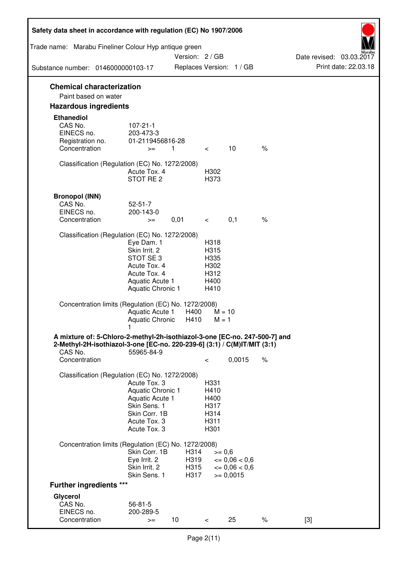| Safety data sheet in accordance with regulation (EC) No 1907/2006                                                                                                 |                                                                                                                        |                              |                                                      |                                                          |      |                                                  |
|-------------------------------------------------------------------------------------------------------------------------------------------------------------------|------------------------------------------------------------------------------------------------------------------------|------------------------------|------------------------------------------------------|----------------------------------------------------------|------|--------------------------------------------------|
| Trade name: Marabu Fineliner Colour Hyp antique green                                                                                                             |                                                                                                                        | Version: 2 / GB              |                                                      |                                                          |      |                                                  |
| Substance number: 0146000000103-17                                                                                                                                |                                                                                                                        |                              |                                                      | Replaces Version: 1 / GB                                 |      | Date revised: 03.03.2017<br>Print date: 22.03.18 |
| <b>Chemical characterization</b>                                                                                                                                  |                                                                                                                        |                              |                                                      |                                                          |      |                                                  |
| Paint based on water                                                                                                                                              |                                                                                                                        |                              |                                                      |                                                          |      |                                                  |
| <b>Hazardous ingredients</b>                                                                                                                                      |                                                                                                                        |                              |                                                      |                                                          |      |                                                  |
| <b>Ethanediol</b><br>CAS No.<br>EINECS no.<br>Registration no.<br>Concentration                                                                                   | $107 - 21 - 1$<br>203-473-3<br>01-2119456816-28<br>$>=$                                                                | 1                            | $\lt$                                                | 10                                                       | $\%$ |                                                  |
|                                                                                                                                                                   |                                                                                                                        |                              |                                                      |                                                          |      |                                                  |
| Classification (Regulation (EC) No. 1272/2008)                                                                                                                    | Acute Tox. 4<br>STOT RE <sub>2</sub>                                                                                   |                              | H302<br>H373                                         |                                                          |      |                                                  |
| <b>Bronopol (INN)</b><br>CAS No.<br>EINECS no.<br>Concentration                                                                                                   | $52 - 51 - 7$<br>200-143-0<br>$>=$                                                                                     | 0,01                         | $\lt$                                                | 0,1                                                      | $\%$ |                                                  |
| Classification (Regulation (EC) No. 1272/2008)                                                                                                                    |                                                                                                                        |                              |                                                      |                                                          |      |                                                  |
|                                                                                                                                                                   | Eye Dam. 1<br>Skin Irrit. 2<br>STOT SE3<br>Acute Tox. 4<br>Acute Tox. 4<br>Aquatic Acute 1<br><b>Aquatic Chronic 1</b> |                              | H318<br>H315<br>H335<br>H302<br>H312<br>H400<br>H410 |                                                          |      |                                                  |
| Concentration limits (Regulation (EC) No. 1272/2008)                                                                                                              | Aquatic Acute 1<br>Aquatic Chronic                                                                                     | H400<br>H410                 | $M = 10$<br>$M = 1$                                  |                                                          |      |                                                  |
| A mixture of: 5-Chloro-2-methyl-2h-isothiazol-3-one [EC-no. 247-500-7] and<br>2-Methyl-2H-isothiazol-3-one [EC-no. 220-239-6] (3:1) / C(M)IT/MIT (3:1)<br>CAS No. | 55965-84-9                                                                                                             |                              |                                                      |                                                          |      |                                                  |
| Concentration                                                                                                                                                     |                                                                                                                        |                              | $\,<\,$                                              | 0,0015                                                   | $\%$ |                                                  |
| Classification (Regulation (EC) No. 1272/2008)                                                                                                                    | Acute Tox, 3<br>Aquatic Chronic 1<br>Aquatic Acute 1<br>Skin Sens. 1<br>Skin Corr. 1B<br>Acute Tox. 3<br>Acute Tox. 3  |                              | H331<br>H410<br>H400<br>H317<br>H314<br>H311<br>H301 |                                                          |      |                                                  |
| Concentration limits (Regulation (EC) No. 1272/2008)                                                                                                              |                                                                                                                        |                              |                                                      |                                                          |      |                                                  |
|                                                                                                                                                                   | Skin Corr. 1B<br>Eye Irrit. 2<br>Skin Irrit. 2<br>Skin Sens. 1                                                         | H314<br>H319<br>H315<br>H317 | $>= 0,6$                                             | $\epsilon = 0.06 < 0.6$<br>$= 0,06 < 0,6$<br>$>= 0,0015$ |      |                                                  |
| <b>Further ingredients ***</b>                                                                                                                                    |                                                                                                                        |                              |                                                      |                                                          |      |                                                  |
| Glycerol<br>CAS No.<br>EINECS no.<br>Concentration                                                                                                                | $56 - 81 - 5$<br>200-289-5<br>$>=$                                                                                     | 10                           | $\lt$                                                | 25                                                       | $\%$ | $[3]$                                            |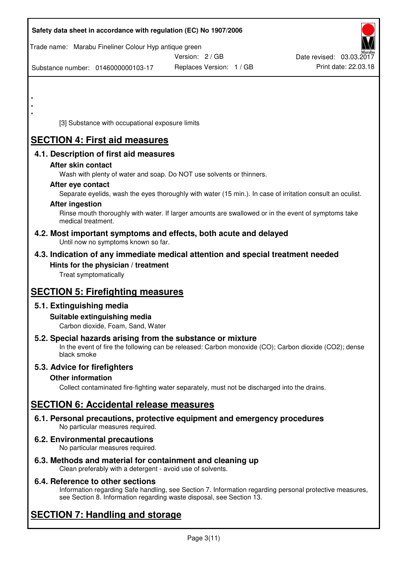| Safety data sheet in accordance with regulation (EC) No 1907/2006                                            |                                                                                                            |                          |
|--------------------------------------------------------------------------------------------------------------|------------------------------------------------------------------------------------------------------------|--------------------------|
| Trade name: Marabu Fineliner Colour Hyp antique green                                                        | Version: 2 / GB                                                                                            | Date revised: 03.03.2017 |
| Substance number: 0146000000103-17                                                                           | Replaces Version: 1 / GB                                                                                   | Print date: 22.03.18     |
|                                                                                                              |                                                                                                            |                          |
| $\star$<br>$^\star$                                                                                          |                                                                                                            |                          |
| $\star$<br>[3] Substance with occupational exposure limits                                                   |                                                                                                            |                          |
| <b>SECTION 4: First aid measures</b>                                                                         |                                                                                                            |                          |
| 4.1. Description of first aid measures                                                                       |                                                                                                            |                          |
| After skin contact                                                                                           | Wash with plenty of water and soap. Do NOT use solvents or thinners.                                       |                          |
| After eye contact                                                                                            |                                                                                                            |                          |
| <b>After ingestion</b>                                                                                       | Separate eyelids, wash the eyes thoroughly with water (15 min.). In case of irritation consult an oculist. |                          |
| medical treatment.                                                                                           | Rinse mouth thoroughly with water. If larger amounts are swallowed or in the event of symptoms take        |                          |
| 4.2. Most important symptoms and effects, both acute and delayed<br>Until now no symptoms known so far.      |                                                                                                            |                          |
| 4.3. Indication of any immediate medical attention and special treatment needed                              |                                                                                                            |                          |
| Hints for the physician / treatment<br>Treat symptomatically                                                 |                                                                                                            |                          |
| <b>SECTION 5: Firefighting measures</b>                                                                      |                                                                                                            |                          |
| 5.1. Extinguishing media                                                                                     |                                                                                                            |                          |
| Suitable extinguishing media<br>Carbon dioxide, Foam, Sand, Water                                            |                                                                                                            |                          |
| 5.2. Special hazards arising from the substance or mixture<br>black smoke                                    | In the event of fire the following can be released: Carbon monoxide (CO); Carbon dioxide (CO2); dense      |                          |
| 5.3. Advice for firefighters                                                                                 |                                                                                                            |                          |
| <b>Other information</b>                                                                                     | Collect contaminated fire-fighting water separately, must not be discharged into the drains.               |                          |
| <b>SECTION 6: Accidental release measures</b>                                                                |                                                                                                            |                          |
| 6.1. Personal precautions, protective equipment and emergency procedures<br>No particular measures required. |                                                                                                            |                          |
| 6.2. Environmental precautions<br>No particular measures required.                                           |                                                                                                            |                          |
| 6.3. Methods and material for containment and cleaning up                                                    |                                                                                                            |                          |

Clean preferably with a detergent - avoid use of solvents.

## **6.4. Reference to other sections**

Information regarding Safe handling, see Section 7. Information regarding personal protective measures, see Section 8. Information regarding waste disposal, see Section 13.

## **SECTION 7: Handling and storage**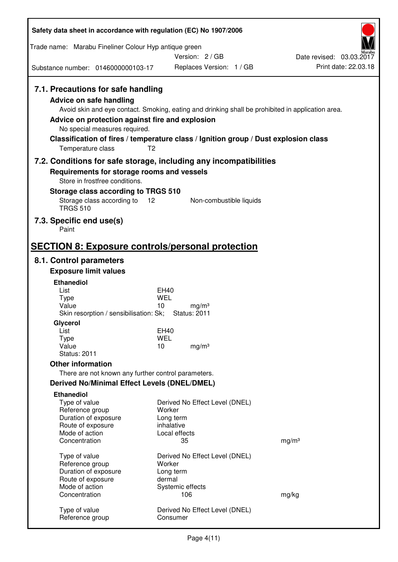| Safety data sheet in accordance with regulation (EC) No 1907/2006                  |                                                                                                   |                                                  |
|------------------------------------------------------------------------------------|---------------------------------------------------------------------------------------------------|--------------------------------------------------|
| Trade name: Marabu Fineliner Colour Hyp antique green                              | Version: 2 / GB                                                                                   |                                                  |
| Substance number: 0146000000103-17                                                 | Replaces Version: 1 / GB                                                                          | Date revised: 03.03.2017<br>Print date: 22.03.18 |
| 7.1. Precautions for safe handling                                                 |                                                                                                   |                                                  |
| <b>Advice on safe handling</b>                                                     |                                                                                                   |                                                  |
|                                                                                    | Avoid skin and eye contact. Smoking, eating and drinking shall be prohibited in application area. |                                                  |
| Advice on protection against fire and explosion<br>No special measures required.   |                                                                                                   |                                                  |
|                                                                                    | Classification of fires / temperature class / Ignition group / Dust explosion class               |                                                  |
| Temperature class                                                                  | T <sub>2</sub>                                                                                    |                                                  |
|                                                                                    | 7.2. Conditions for safe storage, including any incompatibilities                                 |                                                  |
| Requirements for storage rooms and vessels<br>Store in frostfree conditions.       |                                                                                                   |                                                  |
| Storage class according to TRGS 510                                                |                                                                                                   |                                                  |
| Storage class according to 12<br><b>TRGS 510</b>                                   | Non-combustible liquids                                                                           |                                                  |
| 7.3. Specific end use(s)<br>Paint                                                  |                                                                                                   |                                                  |
|                                                                                    |                                                                                                   |                                                  |
| <b>SECTION 8: Exposure controls/personal protection</b><br>8.1. Control parameters |                                                                                                   |                                                  |
| <b>Exposure limit values</b>                                                       |                                                                                                   |                                                  |
| <b>Ethanediol</b>                                                                  |                                                                                                   |                                                  |
| List                                                                               | EH40                                                                                              |                                                  |
| <b>Type</b><br>Value                                                               | WEL<br>10<br>mg/m <sup>3</sup>                                                                    |                                                  |
| Skin resorption / sensibilisation: Sk;                                             | <b>Status: 2011</b>                                                                               |                                                  |
| Glycerol<br>List                                                                   |                                                                                                   |                                                  |
| <b>Type</b>                                                                        | EH40<br><b>WEL</b>                                                                                |                                                  |
| Value                                                                              | 10<br>mg/m <sup>3</sup>                                                                           |                                                  |
| <b>Status: 2011</b><br><b>Other information</b>                                    |                                                                                                   |                                                  |
| There are not known any further control parameters.                                |                                                                                                   |                                                  |
| <b>Derived No/Minimal Effect Levels (DNEL/DMEL)</b>                                |                                                                                                   |                                                  |
| <b>Ethanediol</b>                                                                  |                                                                                                   |                                                  |
| Type of value                                                                      | Derived No Effect Level (DNEL)                                                                    |                                                  |
| Reference group<br>Duration of exposure                                            | Worker<br>Long term                                                                               |                                                  |
| Route of exposure                                                                  | inhalative                                                                                        |                                                  |
| Mode of action<br>Concentration                                                    | Local effects<br>35                                                                               | mg/m <sup>3</sup>                                |
|                                                                                    |                                                                                                   |                                                  |
| Type of value<br>Reference group                                                   | Derived No Effect Level (DNEL)<br>Worker                                                          |                                                  |
| Duration of exposure                                                               | Long term                                                                                         |                                                  |
| Route of exposure                                                                  | dermal                                                                                            |                                                  |
| Mode of action<br>Concentration                                                    | Systemic effects<br>106                                                                           | mg/kg                                            |
|                                                                                    |                                                                                                   |                                                  |
| Type of value<br>Reference group                                                   | Derived No Effect Level (DNEL)<br>Consumer                                                        |                                                  |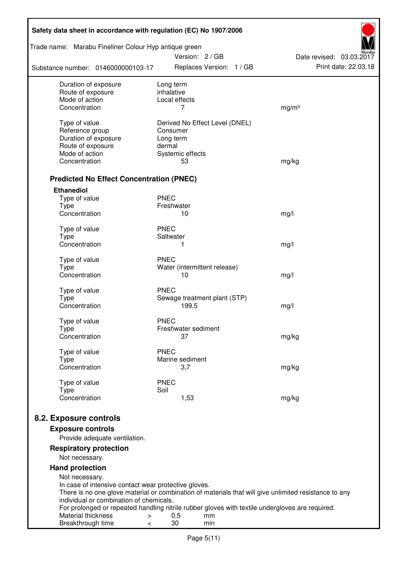| Safety data sheet in accordance with regulation (EC) No 1907/2006                                                                                |                         |                        |                                |                          |
|--------------------------------------------------------------------------------------------------------------------------------------------------|-------------------------|------------------------|--------------------------------|--------------------------|
| Trade name: Marabu Fineliner Colour Hyp antique green                                                                                            |                         | Version: 2 / GB        |                                | Date revised: 03.03.2017 |
| Substance number: 0146000000103-17                                                                                                               |                         |                        | Replaces Version: 1 / GB       | Print date: 22.03.18     |
| Duration of exposure<br>Route of exposure                                                                                                        | Long term<br>inhalative |                        |                                |                          |
| Mode of action                                                                                                                                   | Local effects           |                        |                                |                          |
| Concentration                                                                                                                                    |                         | 7                      |                                | mg/m <sup>3</sup>        |
| Type of value                                                                                                                                    |                         |                        | Derived No Effect Level (DNEL) |                          |
| Reference group                                                                                                                                  | Consumer                |                        |                                |                          |
| Duration of exposure                                                                                                                             | Long term               |                        |                                |                          |
| Route of exposure<br>Mode of action                                                                                                              | dermal                  |                        |                                |                          |
| Concentration                                                                                                                                    |                         | Systemic effects<br>53 |                                | mg/kg                    |
|                                                                                                                                                  |                         |                        |                                |                          |
| <b>Predicted No Effect Concentration (PNEC)</b>                                                                                                  |                         |                        |                                |                          |
| <b>Ethanediol</b>                                                                                                                                |                         |                        |                                |                          |
| Type of value                                                                                                                                    | <b>PNEC</b>             |                        |                                |                          |
| <b>Type</b><br>Concentration                                                                                                                     | Freshwater              | 10                     |                                | mg/l                     |
|                                                                                                                                                  |                         |                        |                                |                          |
| Type of value                                                                                                                                    | <b>PNEC</b>             |                        |                                |                          |
| <b>Type</b><br>Concentration                                                                                                                     | Saltwater               |                        |                                |                          |
|                                                                                                                                                  |                         | 1                      |                                | mg/l                     |
| Type of value                                                                                                                                    | <b>PNEC</b>             |                        |                                |                          |
| <b>Type</b>                                                                                                                                      |                         |                        | Water (intermittent release)   |                          |
| Concentration                                                                                                                                    |                         | 10                     |                                | mg/l                     |
| Type of value                                                                                                                                    | <b>PNEC</b>             |                        |                                |                          |
| <b>Type</b>                                                                                                                                      |                         |                        | Sewage treatment plant (STP)   |                          |
| Concentration                                                                                                                                    |                         | 199,5                  |                                | mg/l                     |
| Type of value                                                                                                                                    | <b>PNEC</b>             |                        |                                |                          |
| Type                                                                                                                                             |                         | Freshwater sediment    |                                |                          |
| Concentration                                                                                                                                    |                         | 37                     |                                | mg/kg                    |
| Type of value                                                                                                                                    | <b>PNEC</b>             |                        |                                |                          |
| Type                                                                                                                                             |                         | Marine sediment        |                                |                          |
| Concentration                                                                                                                                    |                         | 3,7                    |                                | mg/kg                    |
| Type of value                                                                                                                                    | <b>PNEC</b>             |                        |                                |                          |
| <b>Type</b>                                                                                                                                      | Soil                    |                        |                                |                          |
| Concentration                                                                                                                                    |                         | 1,53                   |                                | mg/kg                    |
|                                                                                                                                                  |                         |                        |                                |                          |
| 8.2. Exposure controls                                                                                                                           |                         |                        |                                |                          |
| <b>Exposure controls</b><br>Provide adequate ventilation.                                                                                        |                         |                        |                                |                          |
| <b>Respiratory protection</b>                                                                                                                    |                         |                        |                                |                          |
| Not necessary.                                                                                                                                   |                         |                        |                                |                          |
| <b>Hand protection</b>                                                                                                                           |                         |                        |                                |                          |
| Not necessary.                                                                                                                                   |                         |                        |                                |                          |
| In case of intensive contact wear protective gloves.                                                                                             |                         |                        |                                |                          |
| There is no one glove material or combination of materials that will give unlimited resistance to any<br>individual or combination of chemicals. |                         |                        |                                |                          |
| For prolonged or repeated handling nitrile rubber gloves with textile undergloves are required.                                                  |                         |                        |                                |                          |
| Material thickness<br>>                                                                                                                          | 0,5                     |                        | mm                             |                          |
| Breakthrough time<br>$\,<\,$                                                                                                                     | 30                      |                        | min                            |                          |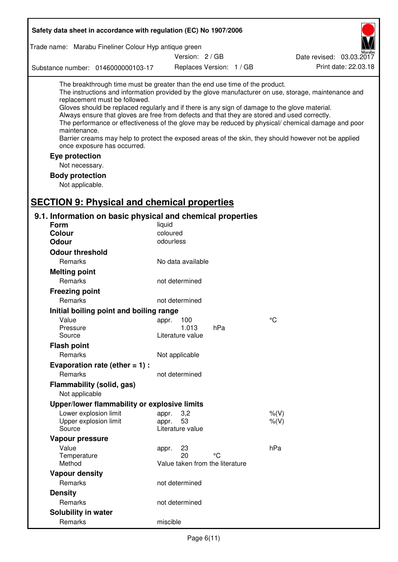| Safety data sheet in accordance with regulation (EC) No 1907/2006                                                                                                                                                                                                                                                                                                                                                          |                                 |                          |                                                                                                                                                                                                                                                                                                                    |
|----------------------------------------------------------------------------------------------------------------------------------------------------------------------------------------------------------------------------------------------------------------------------------------------------------------------------------------------------------------------------------------------------------------------------|---------------------------------|--------------------------|--------------------------------------------------------------------------------------------------------------------------------------------------------------------------------------------------------------------------------------------------------------------------------------------------------------------|
| Trade name: Marabu Fineliner Colour Hyp antique green                                                                                                                                                                                                                                                                                                                                                                      |                                 |                          |                                                                                                                                                                                                                                                                                                                    |
|                                                                                                                                                                                                                                                                                                                                                                                                                            | Version: 2 / GB                 |                          | Date revised: 03.03.2017                                                                                                                                                                                                                                                                                           |
| Substance number: 0146000000103-17                                                                                                                                                                                                                                                                                                                                                                                         |                                 | Replaces Version: 1 / GB | Print date: 22.03.18                                                                                                                                                                                                                                                                                               |
| The breakthrough time must be greater than the end use time of the product.<br>replacement must be followed.<br>Gloves should be replaced regularly and if there is any sign of damage to the glove material.<br>Always ensure that gloves are free from defects and that they are stored and used correctly.<br>maintenance.<br>once exposure has occurred.<br>Eye protection<br>Not necessary.<br><b>Body protection</b> |                                 |                          | The instructions and information provided by the glove manufacturer on use, storage, maintenance and<br>The performance or effectiveness of the glove may be reduced by physical/ chemical damage and poor<br>Barrier creams may help to protect the exposed areas of the skin, they should however not be applied |
| Not applicable.                                                                                                                                                                                                                                                                                                                                                                                                            |                                 |                          |                                                                                                                                                                                                                                                                                                                    |
| <b>SECTION 9: Physical and chemical properties</b>                                                                                                                                                                                                                                                                                                                                                                         |                                 |                          |                                                                                                                                                                                                                                                                                                                    |
| 9.1. Information on basic physical and chemical properties<br><b>Form</b>                                                                                                                                                                                                                                                                                                                                                  | liquid                          |                          |                                                                                                                                                                                                                                                                                                                    |
| <b>Colour</b>                                                                                                                                                                                                                                                                                                                                                                                                              | coloured                        |                          |                                                                                                                                                                                                                                                                                                                    |
| <b>Odour</b>                                                                                                                                                                                                                                                                                                                                                                                                               | odourless                       |                          |                                                                                                                                                                                                                                                                                                                    |
| <b>Odour threshold</b>                                                                                                                                                                                                                                                                                                                                                                                                     |                                 |                          |                                                                                                                                                                                                                                                                                                                    |
| Remarks                                                                                                                                                                                                                                                                                                                                                                                                                    | No data available               |                          |                                                                                                                                                                                                                                                                                                                    |
| <b>Melting point</b>                                                                                                                                                                                                                                                                                                                                                                                                       |                                 |                          |                                                                                                                                                                                                                                                                                                                    |
| Remarks                                                                                                                                                                                                                                                                                                                                                                                                                    | not determined                  |                          |                                                                                                                                                                                                                                                                                                                    |
| <b>Freezing point</b>                                                                                                                                                                                                                                                                                                                                                                                                      |                                 |                          |                                                                                                                                                                                                                                                                                                                    |
| Remarks                                                                                                                                                                                                                                                                                                                                                                                                                    | not determined                  |                          |                                                                                                                                                                                                                                                                                                                    |
| Initial boiling point and boiling range                                                                                                                                                                                                                                                                                                                                                                                    |                                 |                          |                                                                                                                                                                                                                                                                                                                    |
| Value                                                                                                                                                                                                                                                                                                                                                                                                                      | 100<br>appr.                    |                          | $\rm ^{\circ}C$                                                                                                                                                                                                                                                                                                    |
| Pressure                                                                                                                                                                                                                                                                                                                                                                                                                   | 1.013                           | hPa                      |                                                                                                                                                                                                                                                                                                                    |
| Source                                                                                                                                                                                                                                                                                                                                                                                                                     | Literature value                |                          |                                                                                                                                                                                                                                                                                                                    |
| <b>Flash point</b>                                                                                                                                                                                                                                                                                                                                                                                                         |                                 |                          |                                                                                                                                                                                                                                                                                                                    |
| Remarks                                                                                                                                                                                                                                                                                                                                                                                                                    | Not applicable                  |                          |                                                                                                                                                                                                                                                                                                                    |
| Evaporation rate (ether $= 1$ ) :                                                                                                                                                                                                                                                                                                                                                                                          |                                 |                          |                                                                                                                                                                                                                                                                                                                    |
| Remarks                                                                                                                                                                                                                                                                                                                                                                                                                    | not determined                  |                          |                                                                                                                                                                                                                                                                                                                    |
| Flammability (solid, gas)<br>Not applicable                                                                                                                                                                                                                                                                                                                                                                                |                                 |                          |                                                                                                                                                                                                                                                                                                                    |
| Upper/lower flammability or explosive limits                                                                                                                                                                                                                                                                                                                                                                               |                                 |                          |                                                                                                                                                                                                                                                                                                                    |
| Lower explosion limit                                                                                                                                                                                                                                                                                                                                                                                                      | 3,2<br>appr.                    |                          | $%$ $(V)$                                                                                                                                                                                                                                                                                                          |
| Upper explosion limit                                                                                                                                                                                                                                                                                                                                                                                                      | 53<br>appr.                     |                          | $%$ (V)                                                                                                                                                                                                                                                                                                            |
| Source                                                                                                                                                                                                                                                                                                                                                                                                                     | Literature value                |                          |                                                                                                                                                                                                                                                                                                                    |
| Vapour pressure                                                                                                                                                                                                                                                                                                                                                                                                            |                                 |                          |                                                                                                                                                                                                                                                                                                                    |
| Value<br>Temperature                                                                                                                                                                                                                                                                                                                                                                                                       | 23<br>appr.<br>20               | °C                       | hPa                                                                                                                                                                                                                                                                                                                |
| Method                                                                                                                                                                                                                                                                                                                                                                                                                     | Value taken from the literature |                          |                                                                                                                                                                                                                                                                                                                    |
| <b>Vapour density</b>                                                                                                                                                                                                                                                                                                                                                                                                      |                                 |                          |                                                                                                                                                                                                                                                                                                                    |
| Remarks                                                                                                                                                                                                                                                                                                                                                                                                                    | not determined                  |                          |                                                                                                                                                                                                                                                                                                                    |
| <b>Density</b>                                                                                                                                                                                                                                                                                                                                                                                                             |                                 |                          |                                                                                                                                                                                                                                                                                                                    |
| Remarks                                                                                                                                                                                                                                                                                                                                                                                                                    | not determined                  |                          |                                                                                                                                                                                                                                                                                                                    |
| Solubility in water                                                                                                                                                                                                                                                                                                                                                                                                        |                                 |                          |                                                                                                                                                                                                                                                                                                                    |
| Remarks                                                                                                                                                                                                                                                                                                                                                                                                                    | miscible                        |                          |                                                                                                                                                                                                                                                                                                                    |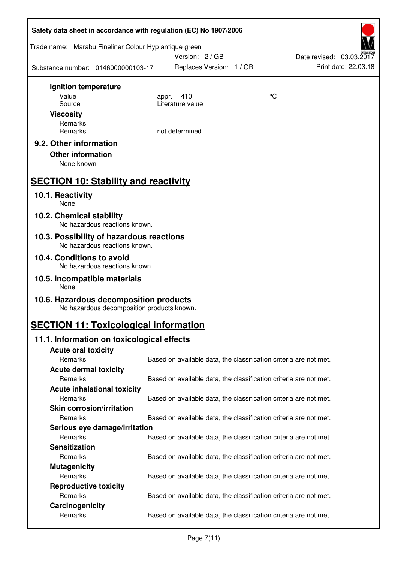| Safety data sheet in accordance with regulation (EC) No 1907/2006                    |                                                                   |                          |
|--------------------------------------------------------------------------------------|-------------------------------------------------------------------|--------------------------|
| Trade name: Marabu Fineliner Colour Hyp antique green                                | Version: 2/GB                                                     | Date revised: 03.03.2017 |
| Substance number: 0146000000103-17                                                   | Replaces Version: 1 / GB                                          | Print date: 22.03.18     |
| Ignition temperature                                                                 |                                                                   |                          |
| Value                                                                                | 410<br>appr.                                                      | $\rm ^{\circ}C$          |
| Source                                                                               | Literature value                                                  |                          |
| <b>Viscosity</b>                                                                     |                                                                   |                          |
| Remarks<br>Remarks                                                                   | not determined                                                    |                          |
|                                                                                      |                                                                   |                          |
| 9.2. Other information                                                               |                                                                   |                          |
| <b>Other information</b>                                                             |                                                                   |                          |
| None known                                                                           |                                                                   |                          |
| <b>SECTION 10: Stability and reactivity</b>                                          |                                                                   |                          |
| 10.1. Reactivity<br>None                                                             |                                                                   |                          |
| 10.2. Chemical stability<br>No hazardous reactions known.                            |                                                                   |                          |
| 10.3. Possibility of hazardous reactions<br>No hazardous reactions known.            |                                                                   |                          |
| 10.4. Conditions to avoid<br>No hazardous reactions known.                           |                                                                   |                          |
| 10.5. Incompatible materials<br>None                                                 |                                                                   |                          |
| 10.6. Hazardous decomposition products<br>No hazardous decomposition products known. |                                                                   |                          |
| <b>SECTION 11: Toxicological information</b>                                         |                                                                   |                          |
| 11.1. Information on toxicological effects                                           |                                                                   |                          |
| <b>Acute oral toxicity</b>                                                           |                                                                   |                          |
| Remarks                                                                              | Based on available data, the classification criteria are not met. |                          |
| <b>Acute dermal toxicity</b>                                                         |                                                                   |                          |
| Remarks                                                                              | Based on available data, the classification criteria are not met. |                          |
| <b>Acute inhalational toxicity</b>                                                   |                                                                   |                          |
| Remarks                                                                              | Based on available data, the classification criteria are not met. |                          |
| <b>Skin corrosion/irritation</b>                                                     |                                                                   |                          |
| Remarks                                                                              | Based on available data, the classification criteria are not met. |                          |
| Serious eye damage/irritation                                                        |                                                                   |                          |
| Remarks                                                                              | Based on available data, the classification criteria are not met. |                          |
| <b>Sensitization</b>                                                                 |                                                                   |                          |
| Remarks                                                                              | Based on available data, the classification criteria are not met. |                          |
| <b>Mutagenicity</b>                                                                  |                                                                   |                          |
| Remarks                                                                              | Based on available data, the classification criteria are not met. |                          |
| <b>Reproductive toxicity</b><br>Remarks                                              | Based on available data, the classification criteria are not met. |                          |
| Carcinogenicity                                                                      |                                                                   |                          |
| Remarks                                                                              | Based on available data, the classification criteria are not met. |                          |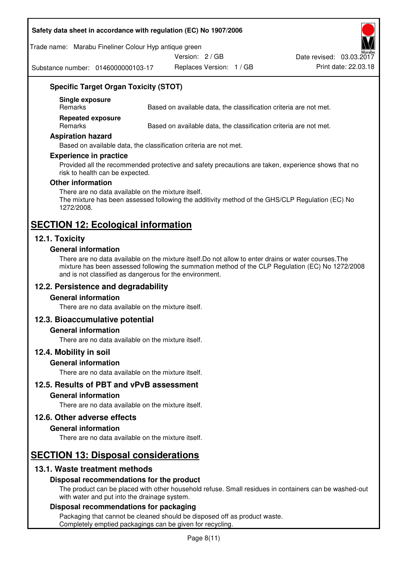#### **Safety data sheet in accordance with regulation (EC) No 1907/2006**

#### Trade name: Marabu Fineliner Colour Hyp antique green

Version: 2 / GB

Substance number: 0146000000103-17

Replaces Version: 1 / GB Print date: 22.03.18 Date revised: 03.03.2017



## **Specific Target Organ Toxicity (STOT)**

**Single exposure** 

Based on available data, the classification criteria are not met.

**Repeated exposure** 

Remarks Based on available data, the classification criteria are not met.

#### **Aspiration hazard**

Based on available data, the classification criteria are not met.

#### **Experience in practice**

Provided all the recommended protective and safety precautions are taken, experience shows that no risk to health can be expected.

#### **Other information**

There are no data available on the mixture itself. The mixture has been assessed following the additivity method of the GHS/CLP Regulation (EC) No 1272/2008.

## **SECTION 12: Ecological information**

## **12.1. Toxicity**

#### **General information**

There are no data available on the mixture itself.Do not allow to enter drains or water courses.The mixture has been assessed following the summation method of the CLP Regulation (EC) No 1272/2008 and is not classified as dangerous for the environment.

## **12.2. Persistence and degradability**

#### **General information**

There are no data available on the mixture itself.

## **12.3. Bioaccumulative potential**

#### **General information**

There are no data available on the mixture itself.

#### **12.4. Mobility in soil**

#### **General information**

There are no data available on the mixture itself.

**12.5. Results of PBT and vPvB assessment** 

#### **General information**

There are no data available on the mixture itself.

#### **12.6. Other adverse effects**

#### **General information**

There are no data available on the mixture itself.

## **SECTION 13: Disposal considerations**

## **13.1. Waste treatment methods**

## **Disposal recommendations for the product**

The product can be placed with other household refuse. Small residues in containers can be washed-out with water and put into the drainage system.

#### **Disposal recommendations for packaging**

Packaging that cannot be cleaned should be disposed off as product waste. Completely emptied packagings can be given for recycling.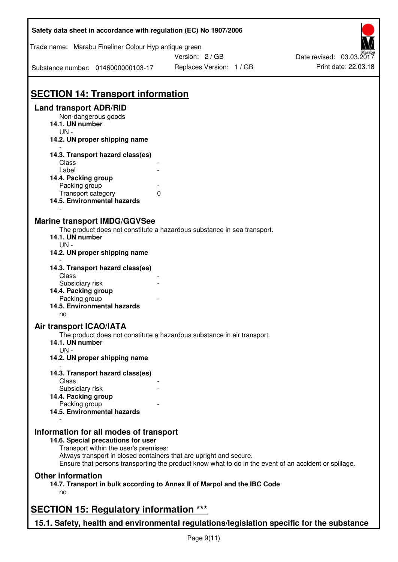| Safety data sheet in accordance with regulation (EC) No 1907/2006                                                     |                                                                                                       |                          |
|-----------------------------------------------------------------------------------------------------------------------|-------------------------------------------------------------------------------------------------------|--------------------------|
| Trade name: Marabu Fineliner Colour Hyp antique green                                                                 |                                                                                                       |                          |
|                                                                                                                       | Version: 2 / GB                                                                                       | Date revised: 03.03.2017 |
| Substance number: 0146000000103-17                                                                                    | Replaces Version: 1 / GB                                                                              | Print date: 22.03.18     |
| <b>SECTION 14: Transport information</b>                                                                              |                                                                                                       |                          |
| <b>Land transport ADR/RID</b>                                                                                         |                                                                                                       |                          |
| Non-dangerous goods<br>14.1. UN number                                                                                |                                                                                                       |                          |
| $UN -$<br>14.2. UN proper shipping name                                                                               |                                                                                                       |                          |
| 14.3. Transport hazard class(es)                                                                                      |                                                                                                       |                          |
| Class<br>Label                                                                                                        |                                                                                                       |                          |
| 14.4. Packing group                                                                                                   |                                                                                                       |                          |
| Packing group                                                                                                         |                                                                                                       |                          |
| Transport category                                                                                                    | 0                                                                                                     |                          |
| 14.5. Environmental hazards                                                                                           |                                                                                                       |                          |
| <b>Marine transport IMDG/GGVSee</b><br>14.1. UN number<br>$UN -$                                                      | The product does not constitute a hazardous substance in sea transport.                               |                          |
| 14.2. UN proper shipping name                                                                                         |                                                                                                       |                          |
| 14.3. Transport hazard class(es)<br>Class                                                                             |                                                                                                       |                          |
| Subsidiary risk                                                                                                       |                                                                                                       |                          |
| 14.4. Packing group                                                                                                   |                                                                                                       |                          |
| Packing group                                                                                                         |                                                                                                       |                          |
| 14.5. Environmental hazards<br>no                                                                                     |                                                                                                       |                          |
| <b>Air transport ICAO/IATA</b>                                                                                        |                                                                                                       |                          |
| 14.1. UN number<br>$UN -$                                                                                             | The product does not constitute a hazardous substance in air transport.                               |                          |
| 14.2. UN proper shipping name                                                                                         |                                                                                                       |                          |
| 14.3. Transport hazard class(es)<br>Class                                                                             |                                                                                                       |                          |
| Subsidiary risk                                                                                                       |                                                                                                       |                          |
| 14.4. Packing group                                                                                                   |                                                                                                       |                          |
| Packing group                                                                                                         |                                                                                                       |                          |
| 14.5. Environmental hazards                                                                                           |                                                                                                       |                          |
| Information for all modes of transport<br>14.6. Special precautions for user<br>Transport within the user's premises: |                                                                                                       |                          |
| Always transport in closed containers that are upright and secure.                                                    | Ensure that persons transporting the product know what to do in the event of an accident or spillage. |                          |
| <b>Other information</b>                                                                                              |                                                                                                       |                          |
| no                                                                                                                    | 14.7. Transport in bulk according to Annex II of Marpol and the IBC Code                              |                          |
| <b>SECTION 15: Regulatory information ***</b>                                                                         |                                                                                                       |                          |
| 15.1. Safety, health and environmental regulations/legislation specific for the substance                             |                                                                                                       |                          |

ī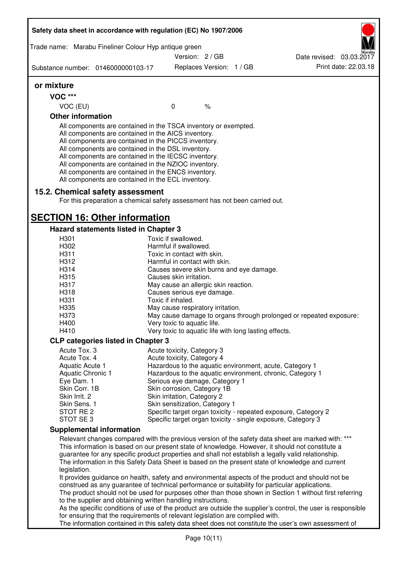| Safety data sheet in accordance with regulation (EC) No 1907/2006<br>Trade name: Marabu Fineliner Colour Hyp antique green |  |                                                            |               |  |                                                                                                              |
|----------------------------------------------------------------------------------------------------------------------------|--|------------------------------------------------------------|---------------|--|--------------------------------------------------------------------------------------------------------------|
|                                                                                                                            |  | Version: 2 / GB                                            |               |  | Date revised: 03.03.2017                                                                                     |
|                                                                                                                            |  |                                                            |               |  | Print date: 22.03.18                                                                                         |
| Substance number: 0146000000103-17                                                                                         |  | Replaces Version: 1 / GB                                   |               |  |                                                                                                              |
| or mixture                                                                                                                 |  |                                                            |               |  |                                                                                                              |
| <b>VOC ***</b>                                                                                                             |  |                                                            |               |  |                                                                                                              |
| VOC (EU)                                                                                                                   |  | $\mathbf 0$                                                | $\frac{1}{6}$ |  |                                                                                                              |
| <b>Other information</b>                                                                                                   |  |                                                            |               |  |                                                                                                              |
| All components are contained in the TSCA inventory or exempted.                                                            |  |                                                            |               |  |                                                                                                              |
| All components are contained in the AICS inventory.                                                                        |  |                                                            |               |  |                                                                                                              |
| All components are contained in the PICCS inventory.                                                                       |  |                                                            |               |  |                                                                                                              |
| All components are contained in the DSL inventory.<br>All components are contained in the IECSC inventory.                 |  |                                                            |               |  |                                                                                                              |
| All components are contained in the NZIOC inventory.                                                                       |  |                                                            |               |  |                                                                                                              |
| All components are contained in the ENCS inventory.                                                                        |  |                                                            |               |  |                                                                                                              |
| All components are contained in the ECL inventory.                                                                         |  |                                                            |               |  |                                                                                                              |
| 15.2. Chemical safety assessment                                                                                           |  |                                                            |               |  |                                                                                                              |
| For this preparation a chemical safety assessment has not been carried out.                                                |  |                                                            |               |  |                                                                                                              |
|                                                                                                                            |  |                                                            |               |  |                                                                                                              |
| <b>SECTION 16: Other information</b>                                                                                       |  |                                                            |               |  |                                                                                                              |
| <b>Hazard statements listed in Chapter 3</b>                                                                               |  |                                                            |               |  |                                                                                                              |
| H301                                                                                                                       |  | Toxic if swallowed.                                        |               |  |                                                                                                              |
| H302                                                                                                                       |  | Harmful if swallowed.                                      |               |  |                                                                                                              |
| H311                                                                                                                       |  | Toxic in contact with skin.                                |               |  |                                                                                                              |
| H312                                                                                                                       |  | Harmful in contact with skin.                              |               |  |                                                                                                              |
| H314                                                                                                                       |  | Causes severe skin burns and eye damage.                   |               |  |                                                                                                              |
| H315                                                                                                                       |  | Causes skin irritation.                                    |               |  |                                                                                                              |
| H317                                                                                                                       |  | May cause an allergic skin reaction.                       |               |  |                                                                                                              |
| H318                                                                                                                       |  | Causes serious eye damage.                                 |               |  |                                                                                                              |
| H331<br>H335                                                                                                               |  | Toxic if inhaled.<br>May cause respiratory irritation.     |               |  |                                                                                                              |
| H373                                                                                                                       |  |                                                            |               |  | May cause damage to organs through prolonged or repeated exposure:                                           |
| H400                                                                                                                       |  | Very toxic to aquatic life.                                |               |  |                                                                                                              |
| H410                                                                                                                       |  | Very toxic to aquatic life with long lasting effects.      |               |  |                                                                                                              |
| <b>CLP categories listed in Chapter 3</b>                                                                                  |  |                                                            |               |  |                                                                                                              |
| Acute Tox. 3                                                                                                               |  | Acute toxicity, Category 3                                 |               |  |                                                                                                              |
| Acute Tox. 4                                                                                                               |  | Acute toxicity, Category 4                                 |               |  |                                                                                                              |
| Aquatic Acute 1                                                                                                            |  |                                                            |               |  | Hazardous to the aquatic environment, acute, Category 1                                                      |
| Aquatic Chronic 1                                                                                                          |  |                                                            |               |  | Hazardous to the aquatic environment, chronic, Category 1                                                    |
| Eye Dam. 1<br>Skin Corr. 1B                                                                                                |  | Serious eye damage, Category 1                             |               |  |                                                                                                              |
| Skin Irrit. 2                                                                                                              |  | Skin corrosion, Category 1B<br>Skin irritation, Category 2 |               |  |                                                                                                              |
| Skin Sens. 1                                                                                                               |  | Skin sensitization, Category 1                             |               |  |                                                                                                              |
| STOT RE <sub>2</sub>                                                                                                       |  |                                                            |               |  | Specific target organ toxicity - repeated exposure, Category 2                                               |
| STOT SE3                                                                                                                   |  |                                                            |               |  | Specific target organ toxicity - single exposure, Category 3                                                 |
| <b>Supplemental information</b>                                                                                            |  |                                                            |               |  |                                                                                                              |
|                                                                                                                            |  |                                                            |               |  | Relevant changes compared with the previous version of the safety data sheet are marked with: ***            |
|                                                                                                                            |  |                                                            |               |  | This information is based on our present state of knowledge. However, it should not constitute a             |
| guarantee for any specific product properties and shall not establish a legally valid relationship.                        |  |                                                            |               |  |                                                                                                              |
|                                                                                                                            |  |                                                            |               |  | The information in this Safety Data Sheet is based on the present state of knowledge and current             |
| legislation.                                                                                                               |  |                                                            |               |  |                                                                                                              |
|                                                                                                                            |  |                                                            |               |  | It provides guidance on health, safety and environmental aspects of the product and should not be            |
| construed as any guarantee of technical performance or suitability for particular applications.                            |  |                                                            |               |  | The product should not be used for purposes other than those shown in Section 1 without first referring      |
| to the supplier and obtaining written handling instructions.                                                               |  |                                                            |               |  |                                                                                                              |
|                                                                                                                            |  |                                                            |               |  | As the specific conditions of use of the product are outside the supplier's control, the user is responsible |
| for ensuring that the requirements of relevant legislation are complied with.                                              |  |                                                            |               |  |                                                                                                              |
|                                                                                                                            |  |                                                            |               |  | The information contained in this safety data sheet does not constitute the user's own assessment of         |

I